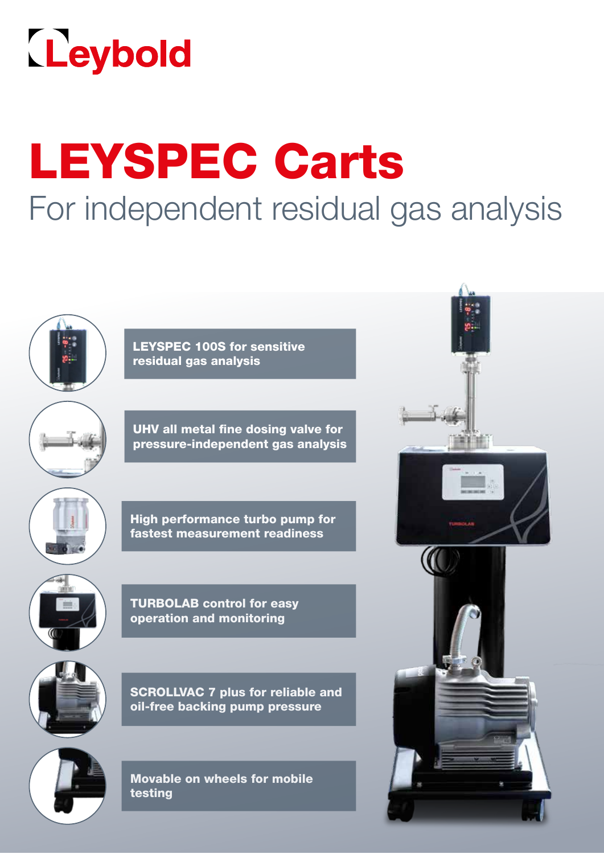

## LEYSPEC Carts For independent residual gas analysis

LEYSPEC 100S for sensitive residual gas analysis

UHV all metal fine dosing valve for pressure-independent gas analysis



High performance turbo pump for fastest measurement readiness



TURBOLAB control for easy operation and monitoring



SCROLLVAC 7 plus for reliable and oil-free backing pump pressure



Movable on wheels for mobile testing